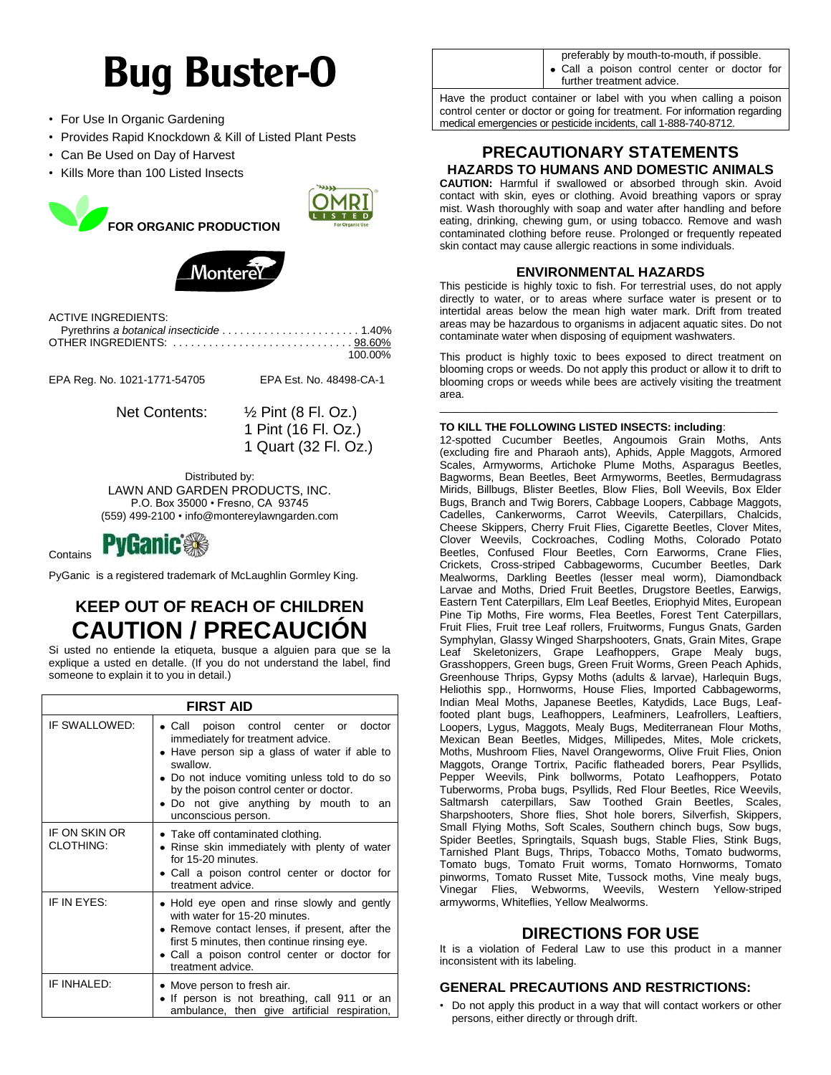# **Bug Buster-O**

- For Use In Organic Gardening
- Provides Rapid Knockdown & Kill of Listed Plant Pests
- Can Be Used on Day of Harvest
- Kills More than 100 Listed Insects





ACTIVE INGREDIENTS:

| 100.00% |
|---------|

EPA Reg. No. 1021-1771-54705 EPA Est. No. 48498-CA-1

Net Contents: ½ Pint (8 Fl. Oz.)

1 Pint (16 Fl. Oz.) 1 Quart (32 Fl. Oz.)

Distributed by: LAWN AND GARDEN PRODUCTS, INC. P.O. Box 35000 • Fresno, CA 93745 (559) 499-2100 • info@montereylawngarden.com



PyGanic is a registered trademark of McLaughlin Gormley King.

# **KEEP OUT OF REACH OF CHILDREN CAUTION / PRECAUCIÓN**

Si usted no entiende la etiqueta, busque a alguien para que se la explique a usted en detalle. (If you do not understand the label, find someone to explain it to you in detail.)

| <b>FIRST AID</b>                  |                                                                                                                                                                                                                                                                                                                  |  |
|-----------------------------------|------------------------------------------------------------------------------------------------------------------------------------------------------------------------------------------------------------------------------------------------------------------------------------------------------------------|--|
| IF SWALLOWED:                     | poison control center or<br>$\bullet$ Call<br>doctor<br>immediately for treatment advice.<br>Have person sip a glass of water if able to<br>swallow.<br>• Do not induce vomiting unless told to do so<br>by the poison control center or doctor.<br>• Do not give anything by mouth to an<br>unconscious person. |  |
| IF ON SKIN OR<br><b>CLOTHING:</b> | • Take off contaminated clothing.<br>• Rinse skin immediately with plenty of water<br>for 15-20 minutes.<br>• Call a poison control center or doctor for<br>treatment advice.                                                                                                                                    |  |
| IF IN EYES:                       | • Hold eye open and rinse slowly and gently<br>with water for 15-20 minutes.<br>• Remove contact lenses, if present, after the<br>first 5 minutes, then continue rinsing eye.<br>• Call a poison control center or doctor for<br>treatment advice.                                                               |  |
| IF INHALED:                       | • Move person to fresh air.<br>• If person is not breathing, call 911 or an<br>ambulance, then give artificial respiration,                                                                                                                                                                                      |  |

preferably by mouth-to-mouth, if possible. Call a poison control center or doctor for

further treatment advice.

Have the product container or label with you when calling a poison control center or doctor or going for treatment. For information regarding medical emergencies or pesticide incidents, call 1-888-740-8712.

### **PRECAUTIONARY STATEMENTS HAZARDS TO HUMANS AND DOMESTIC ANIMALS**

**CAUTION:** Harmful if swallowed or absorbed through skin. Avoid contact with skin, eyes or clothing. Avoid breathing vapors or spray mist. Wash thoroughly with soap and water after handling and before eating, drinking, chewing gum, or using tobacco. Remove and wash contaminated clothing before reuse. Prolonged or frequently repeated skin contact may cause allergic reactions in some individuals.

#### **ENVIRONMENTAL HAZARDS**

This pesticide is highly toxic to fish. For terrestrial uses, do not apply directly to water, or to areas where surface water is present or to intertidal areas below the mean high water mark. Drift from treated areas may be hazardous to organisms in adjacent aquatic sites. Do not contaminate water when disposing of equipment washwaters.

This product is highly toxic to bees exposed to direct treatment on blooming crops or weeds. Do not apply this product or allow it to drift to blooming crops or weeds while bees are actively visiting the treatment area.

\_\_\_\_\_\_\_\_\_\_\_\_\_\_\_\_\_\_\_\_\_\_\_\_\_\_\_\_\_\_\_\_\_\_\_\_\_\_\_\_\_\_\_\_\_\_\_\_\_\_\_\_\_\_\_\_

#### **TO KILL THE FOLLOWING LISTED INSECTS: including**:

12-spotted Cucumber Beetles, Angoumois Grain Moths, Ants (excluding fire and Pharaoh ants), Aphids, Apple Maggots, Armored Scales, Armyworms, Artichoke Plume Moths, Asparagus Beetles, Bagworms, Bean Beetles, Beet Armyworms, Beetles, Bermudagrass Mirids, Billbugs, Blister Beetles, Blow Flies, Boll Weevils, Box Elder Bugs, Branch and Twig Borers, Cabbage Loopers, Cabbage Maggots, Cadelles, Cankerworms, Carrot Weevils, Caterpillars, Chalcids, Cheese Skippers, Cherry Fruit Flies, Cigarette Beetles, Clover Mites, Clover Weevils, Cockroaches, Codling Moths, Colorado Potato Beetles, Confused Flour Beetles, Corn Earworms, Crane Flies, Crickets, Cross-striped Cabbageworms, Cucumber Beetles, Dark Mealworms, Darkling Beetles (lesser meal worm), Diamondback Larvae and Moths, Dried Fruit Beetles, Drugstore Beetles, Earwigs, Eastern Tent Caterpillars, Elm Leaf Beetles, Eriophyid Mites, European Pine Tip Moths, Fire worms, Flea Beetles, Forest Tent Caterpillars, Fruit Flies, Fruit tree Leaf rollers, Fruitworms, Fungus Gnats, Garden Symphylan, Glassy Winged Sharpshooters, Gnats, Grain Mites, Grape Leaf Skeletonizers, Grape Leafhoppers, Grape Mealy bugs, Grasshoppers, Green bugs, Green Fruit Worms, Green Peach Aphids, Greenhouse Thrips, Gypsy Moths (adults & larvae), Harlequin Bugs, Heliothis spp., Hornworms, House Flies, Imported Cabbageworms, Indian Meal Moths, Japanese Beetles, Katydids, Lace Bugs, Leaffooted plant bugs, Leafhoppers, Leafminers, Leafrollers, Leaftiers, Loopers, Lygus, Maggots, Mealy Bugs, Mediterranean Flour Moths, Mexican Bean Beetles, Midges, Millipedes, Mites, Mole crickets, Moths, Mushroom Flies, Navel Orangeworms, Olive Fruit Flies, Onion Maggots, Orange Tortrix, Pacific flatheaded borers, Pear Psyllids, Pepper Weevils, Pink bollworms, Potato Leafhoppers, Potato Tuberworms, Proba bugs, Psyllids, Red Flour Beetles, Rice Weevils, Saltmarsh caterpillars, Saw Toothed Grain Beetles, Scales, Sharpshooters, Shore flies, Shot hole borers, Silverfish, Skippers, Small Flying Moths, Soft Scales, Southern chinch bugs, Sow bugs, Spider Beetles, Springtails, Squash bugs, Stable Flies, Stink Bugs, Tarnished Plant Bugs, Thrips, Tobacco Moths, Tomato budworms, Tomato bugs, Tomato Fruit worms, Tomato Hornworms, Tomato pinworms, Tomato Russet Mite, Tussock moths, Vine mealy bugs, Vinegar Flies, Webworms, Weevils, Western Yellow-striped armyworms, Whiteflies, Yellow Mealworms.

## **DIRECTIONS FOR USE**

It is a violation of Federal Law to use this product in a manner inconsistent with its labeling.

#### **GENERAL PRECAUTIONS AND RESTRICTIONS:**

• Do not apply this product in a way that will contact workers or other persons, either directly or through drift.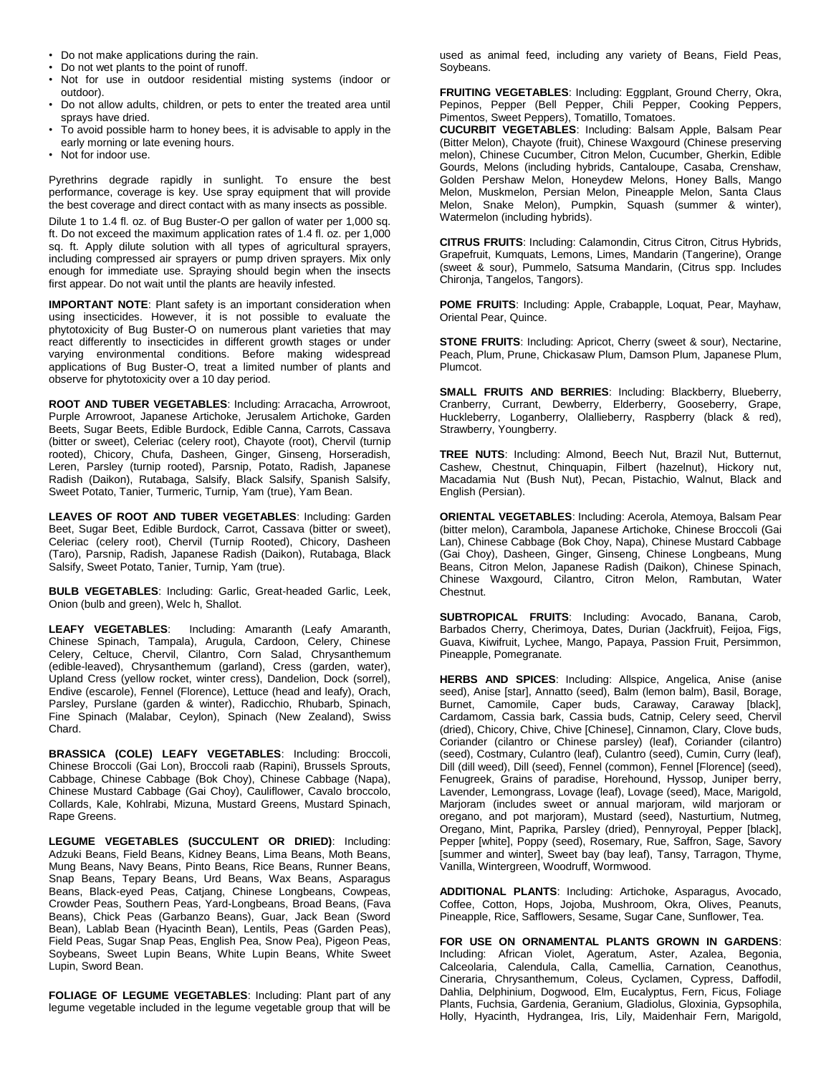- Do not make applications during the rain.
- Do not wet plants to the point of runoff.
- Not for use in outdoor residential misting systems (indoor or outdoor).
- Do not allow adults, children, or pets to enter the treated area until sprays have dried.
- To avoid possible harm to honey bees, it is advisable to apply in the early morning or late evening hours.
- Not for indoor use.

Pyrethrins degrade rapidly in sunlight. To ensure the best performance, coverage is key. Use spray equipment that will provide the best coverage and direct contact with as many insects as possible.

Dilute 1 to 1.4 fl. oz. of Bug Buster-O per gallon of water per 1,000 sq. ft. Do not exceed the maximum application rates of 1.4 fl. oz. per 1,000 sq. ft. Apply dilute solution with all types of agricultural sprayers, including compressed air sprayers or pump driven sprayers. Mix only enough for immediate use. Spraying should begin when the insects first appear. Do not wait until the plants are heavily infested.

**IMPORTANT NOTE**: Plant safety is an important consideration when using insecticides. However, it is not possible to evaluate the phytotoxicity of Bug Buster-O on numerous plant varieties that may react differently to insecticides in different growth stages or under varying environmental conditions. Before making widespread applications of Bug Buster-O, treat a limited number of plants and observe for phytotoxicity over a 10 day period.

**ROOT AND TUBER VEGETABLES**: Including: Arracacha, Arrowroot, Purple Arrowroot, Japanese Artichoke, Jerusalem Artichoke, Garden Beets, Sugar Beets, Edible Burdock, Edible Canna, Carrots, Cassava (bitter or sweet), Celeriac (celery root), Chayote (root), Chervil (turnip rooted), Chicory, Chufa, Dasheen, Ginger, Ginseng, Horseradish, Leren, Parsley (turnip rooted), Parsnip, Potato, Radish, Japanese Radish (Daikon), Rutabaga, Salsify, Black Salsify, Spanish Salsify, Sweet Potato, Tanier, Turmeric, Turnip, Yam (true), Yam Bean.

**LEAVES OF ROOT AND TUBER VEGETABLES**: Including: Garden Beet, Sugar Beet, Edible Burdock, Carrot, Cassava (bitter or sweet), Celeriac (celery root), Chervil (Turnip Rooted), Chicory, Dasheen (Taro), Parsnip, Radish, Japanese Radish (Daikon), Rutabaga, Black Salsify, Sweet Potato, Tanier, Turnip, Yam (true).

**BULB VEGETABLES**: Including: Garlic, Great-headed Garlic, Leek, Onion (bulb and green), Welc h, Shallot.

**LEAFY VEGETABLES**: Including: Amaranth (Leafy Amaranth, Chinese Spinach, Tampala), Arugula, Cardoon, Celery, Chinese Celery, Celtuce, Chervil, Cilantro, Corn Salad, Chrysanthemum (edible-leaved), Chrysanthemum (garland), Cress (garden, water), Upland Cress (yellow rocket, winter cress), Dandelion, Dock (sorrel), Endive (escarole), Fennel (Florence), Lettuce (head and leafy), Orach, Parsley, Purslane (garden & winter), Radicchio, Rhubarb, Spinach, Fine Spinach (Malabar, Ceylon), Spinach (New Zealand), Swiss Chard.

**BRASSICA (COLE) LEAFY VEGETABLES**: Including: Broccoli, Chinese Broccoli (Gai Lon), Broccoli raab (Rapini), Brussels Sprouts, Cabbage, Chinese Cabbage (Bok Choy), Chinese Cabbage (Napa), Chinese Mustard Cabbage (Gai Choy), Cauliflower, Cavalo broccolo, Collards, Kale, Kohlrabi, Mizuna, Mustard Greens, Mustard Spinach, Rape Greens.

**LEGUME VEGETABLES (SUCCULENT OR DRIED)**: Including: Adzuki Beans, Field Beans, Kidney Beans, Lima Beans, Moth Beans, Mung Beans, Navy Beans, Pinto Beans, Rice Beans, Runner Beans, Snap Beans, Tepary Beans, Urd Beans, Wax Beans, Asparagus Beans, Black-eyed Peas, Catjang, Chinese Longbeans, Cowpeas, Crowder Peas, Southern Peas, Yard-Longbeans, Broad Beans, (Fava Beans), Chick Peas (Garbanzo Beans), Guar, Jack Bean (Sword Bean), Lablab Bean (Hyacinth Bean), Lentils, Peas (Garden Peas), Field Peas, Sugar Snap Peas, English Pea, Snow Pea), Pigeon Peas, Soybeans, Sweet Lupin Beans, White Lupin Beans, White Sweet Lupin, Sword Bean.

**FOLIAGE OF LEGUME VEGETABLES**: Including: Plant part of any legume vegetable included in the legume vegetable group that will be used as animal feed, including any variety of Beans, Field Peas, Soybeans.

**FRUITING VEGETABLES**: Including: Eggplant, Ground Cherry, Okra, Pepinos, Pepper (Bell Pepper, Chili Pepper, Cooking Peppers, Pimentos, Sweet Peppers), Tomatillo, Tomatoes.

**CUCURBIT VEGETABLES**: Including: Balsam Apple, Balsam Pear (Bitter Melon), Chayote (fruit), Chinese Waxgourd (Chinese preserving melon), Chinese Cucumber, Citron Melon, Cucumber, Gherkin, Edible Gourds, Melons (including hybrids, Cantaloupe, Casaba, Crenshaw, Golden Pershaw Melon, Honeydew Melons, Honey Balls, Mango Melon, Muskmelon, Persian Melon, Pineapple Melon, Santa Claus Melon, Snake Melon), Pumpkin, Squash (summer & winter), Watermelon (including hybrids).

**CITRUS FRUITS**: Including: Calamondin, Citrus Citron, Citrus Hybrids, Grapefruit, Kumquats, Lemons, Limes, Mandarin (Tangerine), Orange (sweet & sour), Pummelo, Satsuma Mandarin, (Citrus spp. Includes Chironja, Tangelos, Tangors).

**POME FRUITS**: Including: Apple, Crabapple, Loquat, Pear, Mayhaw, Oriental Pear, Quince.

**STONE FRUITS**: Including: Apricot, Cherry (sweet & sour), Nectarine, Peach, Plum, Prune, Chickasaw Plum, Damson Plum, Japanese Plum, Plumcot.

**SMALL FRUITS AND BERRIES**: Including: Blackberry, Blueberry, Cranberry, Currant, Dewberry, Elderberry, Gooseberry, Grape, Huckleberry, Loganberry, Olallieberry, Raspberry (black & red), Strawberry, Youngberry.

**TREE NUTS**: Including: Almond, Beech Nut, Brazil Nut, Butternut, Cashew, Chestnut, Chinquapin, Filbert (hazelnut), Hickory nut, Macadamia Nut (Bush Nut), Pecan, Pistachio, Walnut, Black and English (Persian).

**ORIENTAL VEGETABLES**: Including: Acerola, Atemoya, Balsam Pear (bitter melon), Carambola, Japanese Artichoke, Chinese Broccoli (Gai Lan), Chinese Cabbage (Bok Choy, Napa), Chinese Mustard Cabbage (Gai Choy), Dasheen, Ginger, Ginseng, Chinese Longbeans, Mung Beans, Citron Melon, Japanese Radish (Daikon), Chinese Spinach, Chinese Waxgourd, Cilantro, Citron Melon, Rambutan, Water Chestnut.

**SUBTROPICAL FRUITS**: Including: Avocado, Banana, Carob, Barbados Cherry, Cherimoya, Dates, Durian (Jackfruit), Feijoa, Figs, Guava, Kiwifruit, Lychee, Mango, Papaya, Passion Fruit, Persimmon, Pineapple, Pomegranate.

**HERBS AND SPICES**: Including: Allspice, Angelica, Anise (anise seed), Anise [star], Annatto (seed), Balm (lemon balm), Basil, Borage, Burnet, Camomile, Caper buds, Caraway, Caraway [black], Cardamom, Cassia bark, Cassia buds, Catnip, Celery seed, Chervil (dried), Chicory, Chive, Chive [Chinese], Cinnamon, Clary, Clove buds, Coriander (cilantro or Chinese parsley) (leaf), Coriander (cilantro) (seed), Costmary, Culantro (leaf), Culantro (seed), Cumin, Curry (leaf), Dill (dill weed), Dill (seed), Fennel (common), Fennel [Florence] (seed), Fenugreek, Grains of paradise, Horehound, Hyssop, Juniper berry, Lavender, Lemongrass, Lovage (leaf), Lovage (seed), Mace, Marigold, Marjoram (includes sweet or annual marjoram, wild marjoram or oregano, and pot marjoram), Mustard (seed), Nasturtium, Nutmeg, Oregano, Mint, Paprika, Parsley (dried), Pennyroyal, Pepper [black], Pepper [white], Poppy (seed), Rosemary, Rue, Saffron, Sage, Savory [summer and winter], Sweet bay (bay leaf), Tansy, Tarragon, Thyme, Vanilla, Wintergreen, Woodruff, Wormwood.

**ADDITIONAL PLANTS**: Including: Artichoke, Asparagus, Avocado, Coffee, Cotton, Hops, Jojoba, Mushroom, Okra, Olives, Peanuts, Pineapple, Rice, Safflowers, Sesame, Sugar Cane, Sunflower, Tea.

**FOR USE ON ORNAMENTAL PLANTS GROWN IN GARDENS**: Including: African Violet, Ageratum, Aster, Azalea, Begonia, Calceolaria, Calendula, Calla, Camellia, Carnation, Ceanothus, Cineraria, Chrysanthemum, Coleus, Cyclamen, Cypress, Daffodil, Dahlia, Delphinium, Dogwood, Elm, Eucalyptus, Fern, Ficus, Foliage Plants, Fuchsia, Gardenia, Geranium, Gladiolus, Gloxinia, Gypsophila, Holly, Hyacinth, Hydrangea, Iris, Lily, Maidenhair Fern, Marigold,